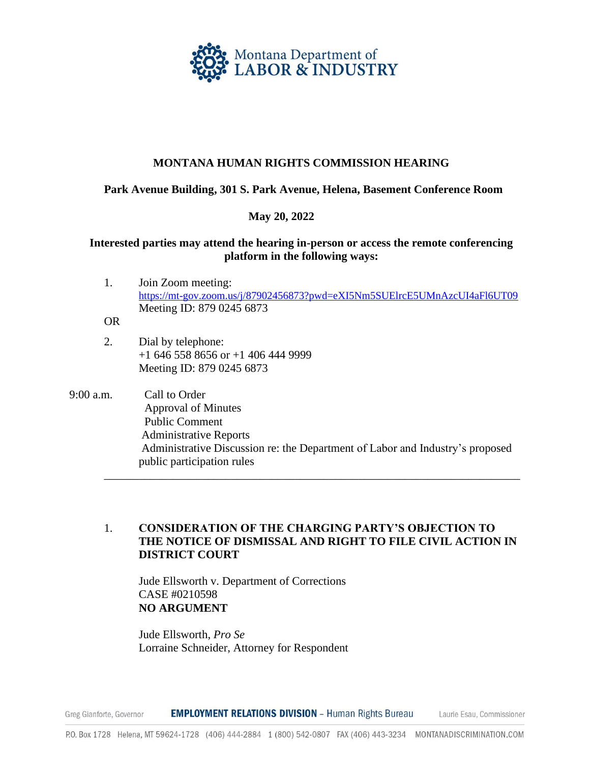

### **MONTANA HUMAN RIGHTS COMMISSION HEARING**

#### **Park Avenue Building, 301 S. Park Avenue, Helena, Basement Conference Room**

#### **May 20, 2022**

#### **Interested parties may attend the hearing in-person or access the remote conferencing platform in the following ways:**

- 1. Join Zoom meeting: <https://mt-gov.zoom.us/j/87902456873?pwd=eXI5Nm5SUElrcE5UMnAzcUI4aFl6UT09> Meeting ID: 879 0245 6873
- OR
- 2. Dial by telephone: +1 646 558 8656 or +1 406 444 9999 Meeting ID: 879 0245 6873
- 9:00 a.m. Call to Order Approval of Minutes Public Comment Administrative Reports Administrative Discussion re: the Department of Labor and Industry's proposed public participation rules \_\_\_\_\_\_\_\_\_\_\_\_\_\_\_\_\_\_\_\_\_\_\_\_\_\_\_\_\_\_\_\_\_\_\_\_\_\_\_\_\_\_\_\_\_\_\_\_\_\_\_\_\_\_\_\_\_\_\_\_\_\_\_\_\_\_\_\_\_\_\_\_

## 1. **CONSIDERATION OF THE CHARGING PARTY'S OBJECTION TO THE NOTICE OF DISMISSAL AND RIGHT TO FILE CIVIL ACTION IN DISTRICT COURT**

Jude Ellsworth v. Department of Corrections CASE #0210598 **NO ARGUMENT**

Jude Ellsworth, *Pro Se* Lorraine Schneider, Attorney for Respondent

**EMPLOYMENT RELATIONS DIVISION - Human Rights Bureau** Laurie Esau, Commissioner Greg Gianforte, Governor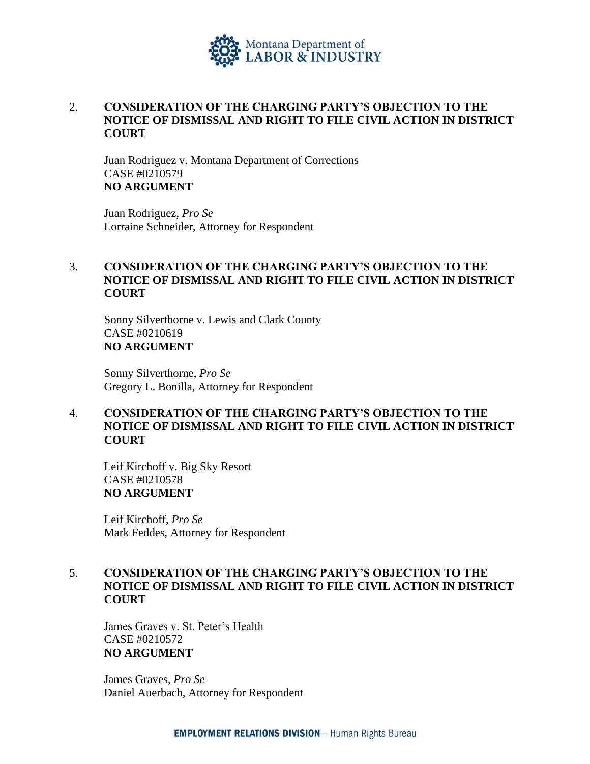

## 2. **CONSIDERATION OF THE CHARGING PARTY'S OBJECTION TO THE NOTICE OF DISMISSAL AND RIGHT TO FILE CIVIL ACTION IN DISTRICT COURT**

Juan Rodriguez v. Montana Department of Corrections CASE #0210579 **NO ARGUMENT**

Juan Rodriguez, *Pro Se* Lorraine Schneider, Attorney for Respondent

# 3. **CONSIDERATION OF THE CHARGING PARTY'S OBJECTION TO THE NOTICE OF DISMISSAL AND RIGHT TO FILE CIVIL ACTION IN DISTRICT COURT**

Sonny Silverthorne v. Lewis and Clark County CASE #0210619 **NO ARGUMENT**

Sonny Silverthorne, *Pro Se* Gregory L. Bonilla, Attorney for Respondent

# 4. **CONSIDERATION OF THE CHARGING PARTY'S OBJECTION TO THE NOTICE OF DISMISSAL AND RIGHT TO FILE CIVIL ACTION IN DISTRICT COURT**

Leif Kirchoff v. Big Sky Resort CASE #0210578 **NO ARGUMENT**

Leif Kirchoff, *Pro Se* Mark Feddes, Attorney for Respondent

## 5. **CONSIDERATION OF THE CHARGING PARTY'S OBJECTION TO THE NOTICE OF DISMISSAL AND RIGHT TO FILE CIVIL ACTION IN DISTRICT COURT**

James Graves v. St. Peter's Health CASE #0210572 **NO ARGUMENT**

James Graves, *Pro Se* Daniel Auerbach, Attorney for Respondent